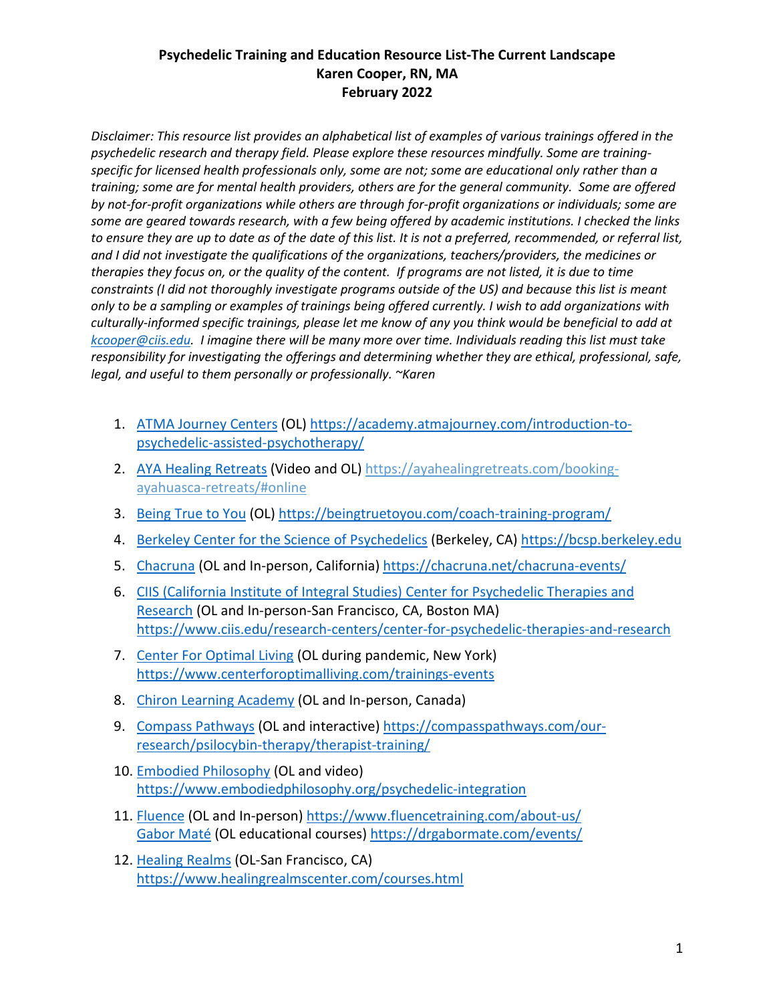## **Psychedelic Training and Education Resource List-The Current Landscape Karen Cooper, RN, MA February 2022**

*Disclaimer: This resource list provides an alphabetical list of examples of various trainings offered in the psychedelic research and therapy field. Please explore these resources mindfully. Some are trainingspecific for licensed health professionals only, some are not; some are educational only rather than a training; some are for mental health providers, others are for the general community. Some are offered by not-for-profit organizations while others are through for-profit organizations or individuals; some are some are geared towards research, with a few being offered by academic institutions. I checked the links to ensure they are up to date as of the date of this list. It is not a preferred, recommended, or referral list, and I did not investigate the qualifications of the organizations, teachers/providers, the medicines or therapies they focus on, or the quality of the content. If programs are not listed, it is due to time constraints (I did not thoroughly investigate programs outside of the US) and because this list is meant only to be a sampling or examples of trainings being offered currently. I wish to add organizations with culturally-informed specific trainings, please let me know of any you think would be beneficial to add at [kcooper@ciis.edu.](mailto:kcooper@ciis.edu) I imagine there will be many more over time. Individuals reading this list must take responsibility for investigating the offerings and determining whether they are ethical, professional, safe, legal, and useful to them personally or professionally. ~Karen*

- 1. [ATMA Journey Centers](https://academy.atmajourney.com/introduction-to-psychedelic-assisted-psychotherapy/) (OL) [https://academy.atmajourney.com/introduction-to](https://academy.atmajourney.com/introduction-to-psychedelic-assisted-psychotherapy/)[psychedelic-assisted-psychotherapy/](https://academy.atmajourney.com/introduction-to-psychedelic-assisted-psychotherapy/)
- 2. [AYA Healing Retreats](https://ayahealingretreats.com/booking-ayahuasca-retreats/#online) (Video and OL) [https://ayahealingretreats.com/booking](https://ayahealingretreats.com/booking-ayahuasca-retreats/#online)[ayahuasca-retreats/#online](https://ayahealingretreats.com/booking-ayahuasca-retreats/#online)
- 3. Being [True to You](https://beingtruetoyou.com/coach-training-program/) (OL) <https://beingtruetoyou.com/coach-training-program/>
- 4. [Berkeley Center for the Science of Psychedelics](https://bcsp.berkeley.edu/) (Berkeley, CA) [https://bcsp.berkeley.edu](https://bcsp.berkeley.edu/)
- 5. [Chacruna](https://chacruna.net/chacruna-events/) (OL and In-person, California[\) https://chacruna.net/chacruna-events/](https://chacruna.net/chacruna-events/)
- 6. [CIIS \(California Institute of Integral Studies\) Center for Psychedelic Therapies and](https://www.ciis.edu/research-centers/center-for-psychedelic-therapies-and-research)  [Research](https://www.ciis.edu/research-centers/center-for-psychedelic-therapies-and-research) (OL and In-person-San Francisco, CA, Boston MA) <https://www.ciis.edu/research-centers/center-for-psychedelic-therapies-and-research>
- 7. [Center For Optimal Living](https://www.centerforoptimalliving.com/trainings-events) (OL during pandemic, New York) <https://www.centerforoptimalliving.com/trainings-events>
- 8. [Chiron Learning Academy](https://chironacademy.ca/) (OL and In-person, Canada)
- 9. [Compass Pathways](https://compasspathways.com/our-research/psilocybin-therapy/therapist-training/) (OL and interactive) [https://compasspathways.com/our](https://compasspathways.com/our-research/psilocybin-therapy/therapist-training/)[research/psilocybin-therapy/therapist-training/](https://compasspathways.com/our-research/psilocybin-therapy/therapist-training/)
- 10. [Embodied Philosophy](https://www.embodiedphilosophy.org/psychedelic-integration) (OL and video) <https://www.embodiedphilosophy.org/psychedelic-integration>
- 11. [Fluence](https://www.fluencetraining.com/about-us/) (OL and In-person) <https://www.fluencetraining.com/about-us/> [Gabor Maté](https://drgabormate.com/events/) (OL educational courses) <https://drgabormate.com/events/>
- 12. [Healing Realms](https://www.healingrealmscenter.com/courses.html) (OL-San Francisco, CA) <https://www.healingrealmscenter.com/courses.html>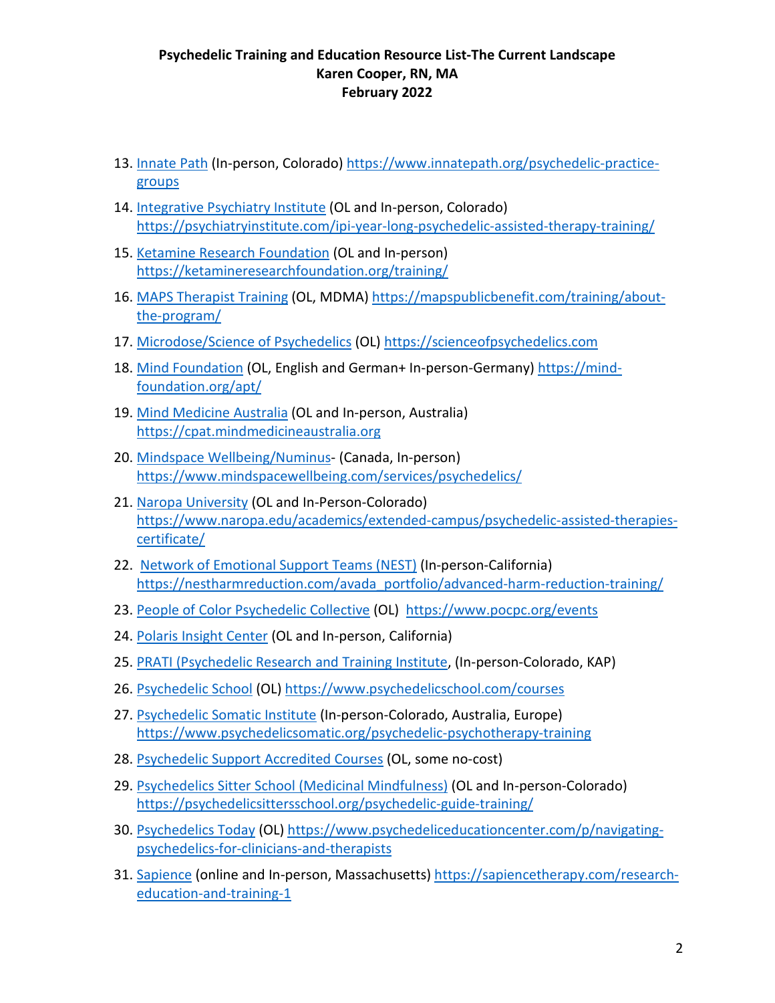## **Psychedelic Training and Education Resource List-The Current Landscape Karen Cooper, RN, MA February 2022**

- 13. Innate Path (In-person, Colorado) [https://www.innatepath.org/psychedelic-practice](https://www.innatepath.org/psychedelic-practice-groups)[groups](https://www.innatepath.org/psychedelic-practice-groups)
- 14. [Integrative Psychiatry Institute](https://psychiatryinstitute.com/ipi-year-long-psychedelic-assisted-therapy-training/) (OL and In-person, Colorado) <https://psychiatryinstitute.com/ipi-year-long-psychedelic-assisted-therapy-training/>
- 15. [Ketamine Research Foundation](https://ketamineresearchfoundation.org/training/) (OL and In-person) <https://ketamineresearchfoundation.org/training/>
- 16. MAPS Therapist Training (OL, MDMA) [https://mapspublicbenefit.com/training/about](https://mapspublicbenefit.com/training/about-the-program/)[the-program/](https://mapspublicbenefit.com/training/about-the-program/)
- 17. [Microdose/Science of Psychedelics](https://scienceofpsychedelics.com/) (OL) [https://scienceofpsychedelics.com](https://scienceofpsychedelics.com/)
- 18. Mind Foundation (OL, English and German+ In-person-Germany) [https://mind](https://mind-foundation.org/apt/)[foundation.org/apt/](https://mind-foundation.org/apt/)
- 19. [Mind Medicine Australia](https://cpat.mindmedicineaustralia.org/) (OL and In-person, Australia) [https://cpat.mindmedicineaustralia.org](https://cpat.mindmedicineaustralia.org/)
- 20. [Mindspace Wellbeing/Numinus-](https://www.mindspacewellbeing.com/services/psychedelics/) (Canada, In-person) <https://www.mindspacewellbeing.com/services/psychedelics/>
- 21. [Naropa University](https://www.naropa.edu/academics/extended-campus/psychedelic-assisted-therapies-certificate/) (OL and In-Person-Colorado) [https://www.naropa.edu/academics/extended-campus/psychedelic-assisted-therapies](https://www.naropa.edu/academics/extended-campus/psychedelic-assisted-therapies-certificate/)[certificate/](https://www.naropa.edu/academics/extended-campus/psychedelic-assisted-therapies-certificate/)
- 22. [Network of Emotional Support Teams \(NEST\)](https://nestharmreduction.com/avada_portfolio/advanced-harm-reduction-training/) (In-person-California) [https://nestharmreduction.com/avada\\_portfolio/advanced-harm-reduction-training/](https://nestharmreduction.com/avada_portfolio/advanced-harm-reduction-training/)
- 23. [People of Color Psychedelic Collective](https://www.pocpc.org/events) (OL)<https://www.pocpc.org/events>
- 24. [Polaris Insight Center](https://www.polarisinsight.com/training-retreats/) (OL and In-person, California)
- 25. [PRATI \(Psychedelic Research and Training Institute,](https://pratigroup.org/) (In-person-Colorado, KAP)
- 26. [Psychedelic School](https://www.psychedelicschool.com/courses) (OL) <https://www.psychedelicschool.com/courses>
- 27. [Psychedelic Somatic Institute](https://www.psychedelicsomatic.org/psychedelic-psychotherapy-training) (In-person-Colorado, Australia, Europe) <https://www.psychedelicsomatic.org/psychedelic-psychotherapy-training>
- 28. [Psychedelic Support Accredited Courses](https://psychedelic.support/) (OL, some no-cost)
- 29. [Psychedelics Sitter School \(Medicinal Mindfulness\)](https://psychedelicsittersschool.org/psychedelic-guide-training/) (OL and In-person-Colorado) <https://psychedelicsittersschool.org/psychedelic-guide-training/>
- 30. [Psychedelics Today](https://www.psychedeliceducationcenter.com/p/navigating-psychedelics-for-clinicians-and-therapists) (OL) [https://www.psychedeliceducationcenter.com/p/navigating](https://www.psychedeliceducationcenter.com/p/navigating-psychedelics-for-clinicians-and-therapists)[psychedelics-for-clinicians-and-therapists](https://www.psychedeliceducationcenter.com/p/navigating-psychedelics-for-clinicians-and-therapists)
- 31. [Sapience](https://sapiencetherapy.com/research-education-and-training-1) (online and In-person, Massachusetts) [https://sapiencetherapy.com/research](https://sapiencetherapy.com/research-education-and-training-1)[education-and-training-1](https://sapiencetherapy.com/research-education-and-training-1)